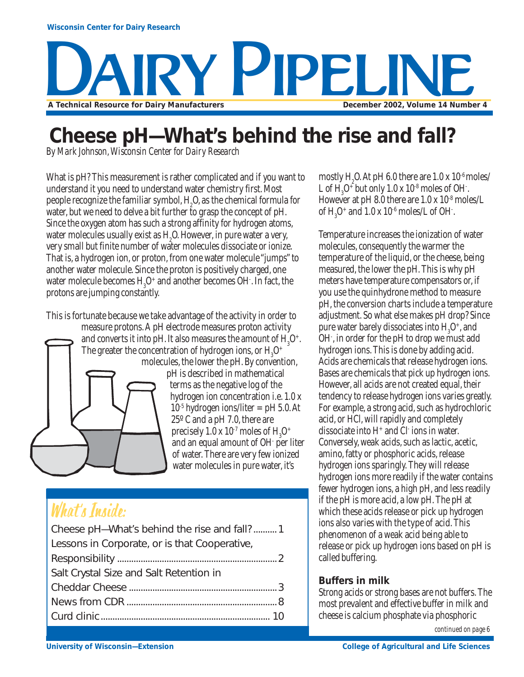

## **Cheese pH—What's behind the rise and fall?**

*By Mark Johnson, Wisconsin Center for Dairy Research*

What is pH? This measurement is rather complicated and if you want to understand it you need to understand water chemistry first. Most people recognize the familiar symbol,  $H<sub>2</sub>$ O, as the chemical formula for water, but we need to delve a bit further to grasp the concept of pH. Since the oxygen atom has such a strong affinity for hydrogen atoms, water molecules usually exist as  $H_2O$ . However, in pure water a very, very small but finite number of water molecules dissociate or ionize. That is, a hydrogen ion, or proton, from one water molecule "jumps" to another water molecule. Since the proton is positively charged, one water molecule becomes  $\mathrm{H}_3\mathrm{O}^+$  and another becomes OH . In fact, the protons are jumping constantly.

This is fortunate because we take advantage of the activity in order to measure protons. A pH electrode measures proton activity



molecules, the lower the pH. By convention, pH is described in mathematical terms as the negative log of the hydrogen ion concentration i.e. 1.0 x  $10^{-5}$  hydrogen ions/liter = pH 5.0. At 25º C and a pH 7.0, there are precisely  $1.0 \times 10^{-7}$  moles of  $\rm H_3O^+$ and an equal amount of OH- per liter of water. There are very few ionized water molecules in pure water, it's

### What's Inside:

| Cheese pH-What's behind the rise and fall? 1  |  |
|-----------------------------------------------|--|
| Lessons in Corporate, or is that Cooperative, |  |
|                                               |  |
| Salt Crystal Size and Salt Retention in       |  |
|                                               |  |
|                                               |  |
|                                               |  |

mostly  $H_2O$ . At pH 6.0 there are  $1.0 \times 10^{-6}$  moles/ L of  $H_3O^+$  but only  $1.0 \times 10^{-8}$  moles of OH. However at pH 8.0 there are  $1.0 \times 10^{-8}$  moles/L of  $H_3O^+$  and  $1.0 \times 10^{-6}$  moles/L of OH.

Temperature increases the ionization of water molecules, consequently the warmer the temperature of the liquid, or the cheese, being measured, the lower the pH. This is why pH meters have temperature compensators or, if you use the quinhydrone method to measure pH, the conversion charts include a temperature adjustment. So what else makes pH drop? Since pure water barely dissociates into  $H_3O^+$ , and OH- , in order for the pH to drop we must add hydrogen ions. This is done by adding acid. Acids are chemicals that release hydrogen ions. Bases are chemicals that pick up hydrogen ions. However, all acids are not created equal, their tendency to release hydrogen ions varies greatly. For example, a strong acid, such as hydrochloric acid, or HCl, will rapidly and completely dissociate into  $H^+$  and Cl $\overline{\ }$  ions in water. Conversely, weak acids, such as lactic, acetic, amino, fatty or phosphoric acids, release hydrogen ions sparingly. They will release hydrogen ions more readily if the water contains fewer hydrogen ions, a high pH, and less readily if the pH is more acid, a low pH. The pH at which these acids release or pick up hydrogen ions also varies with the type of acid. This phenomenon of a weak acid being able to release or pick up hydrogen ions based on pH is called buffering.

### **Buffers in milk**

Strong acids or strong bases are not buffers. The most prevalent and effective buffer in milk and cheese is calcium phosphate via phosphoric

*continued on page 6*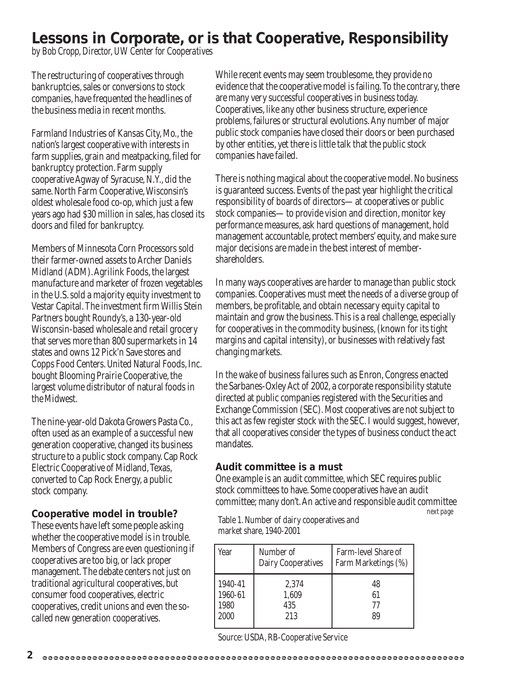### **Lessons in Corporate, or is that Cooperative, Responsibility**

*by Bob Cropp, Director, UW Center for Cooperatives*

The restructuring of cooperatives through bankruptcies, sales or conversions to stock companies, have frequented the headlines of the business media in recent months.

Farmland Industries of Kansas City, Mo., the nation's largest cooperative with interests in farm supplies, grain and meatpacking, filed for bankruptcy protection. Farm supply cooperative Agway of Syracuse, N.Y., did the same. North Farm Cooperative, Wisconsin's oldest wholesale food co-op, which just a few years ago had \$30 million in sales, has closed its doors and filed for bankruptcy.

Members of Minnesota Corn Processors sold their farmer-owned assets to Archer Daniels Midland (ADM). Agrilink Foods, the largest manufacture and marketer of frozen vegetables in the U.S. sold a majority equity investment to Vestar Capital. The investment firm Willis Stein Partners bought Roundy's, a 130-year-old Wisconsin-based wholesale and retail grocery that serves more than 800 supermarkets in 14 states and owns 12 Pick'n Save stores and Copps Food Centers. United Natural Foods, Inc. bought Blooming Prairie Cooperative, the largest volume distributor of natural foods in the Midwest.

The nine-year-old Dakota Growers Pasta Co., often used as an example of a successful new generation cooperative, changed its business structure to a public stock company. Cap Rock Electric Cooperative of Midland, Texas, converted to Cap Rock Energy, a public stock company.

### **Cooperative model in trouble?**

These events have left some people asking whether the cooperative model is in trouble. Members of Congress are even questioning if cooperatives are too big, or lack proper management. The debate centers not just on traditional agricultural cooperatives, but consumer food cooperatives, electric cooperatives, credit unions and even the socalled new generation cooperatives.

While recent events may seem troublesome, they provide no evidence that the cooperative model is failing. To the contrary, there are many very successful cooperatives in business today. Cooperatives, like any other business structure, experience problems, failures or structural evolutions. Any number of major public stock companies have closed their doors or been purchased by other entities, yet there is little talk that the public stock companies have failed.

There is nothing magical about the cooperative model. No business is guaranteed success. Events of the past year highlight the critical responsibility of boards of directors—at cooperatives or public stock companies—to provide vision and direction, monitor key performance measures, ask hard questions of management, hold management accountable, protect members' equity, and make sure major decisions are made in the best interest of membershareholders.

In many ways cooperatives are harder to manage than public stock companies. Cooperatives must meet the needs of a diverse group of members, be profitable, and obtain necessary equity capital to maintain and grow the business. This is a real challenge, especially for cooperatives in the commodity business, (known for its tight margins and capital intensity), or businesses with relatively fast changing markets.

In the wake of business failures such as Enron, Congress enacted the Sarbanes-Oxley Act of 2002, a corporate responsibility statute directed at public companies registered with the Securities and Exchange Commission (SEC). Most cooperatives are not subject to this act as few register stock with the SEC. I would suggest, however, that all cooperatives consider the types of business conduct the act mandates.

### **Audit committee is a must**

One example is an audit committee, which SEC requires public stock committees to have. Some cooperatives have an audit committee; many don't. An active and responsible audit committee

*next page*

Table 1. Number of dairy cooperatives and market share, 1940-2001

| Year    | Number of<br><b>Dairy Cooperatives</b> | Farm-level Share of<br>Farm Marketings (%) |
|---------|----------------------------------------|--------------------------------------------|
| 1940-41 | 2,374                                  | 48                                         |
| 1960-61 | 1,609                                  | 61                                         |
| 1980    | 435                                    | 77                                         |
| 2000    | 213                                    | 89                                         |

Source: USDA, RB-Cooperative Service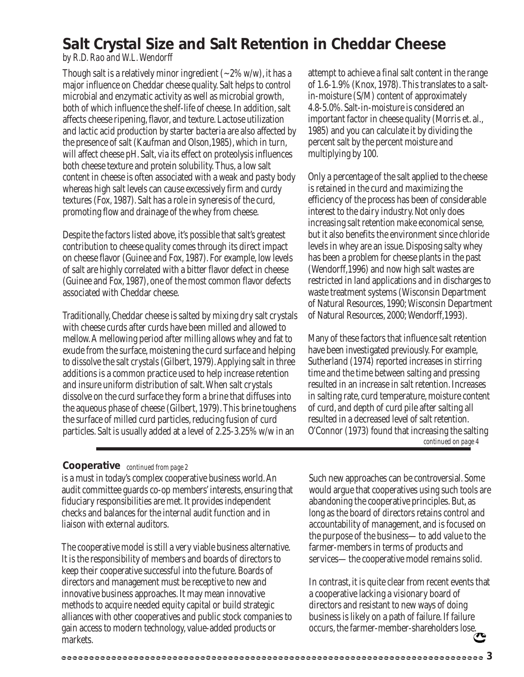### **Salt Crystal Size and Salt Retention in Cheddar Cheese**

*by R.D. Rao and W.L. Wendorff*

Though salt is a relatively minor ingredient  $(-2\%$  w/w), it has a major influence on Cheddar cheese quality. Salt helps to control microbial and enzymatic activity as well as microbial growth, both of which influence the shelf-life of cheese. In addition, salt affects cheese ripening, flavor, and texture. Lactose utilization and lactic acid production by starter bacteria are also affected by the presence of salt (Kaufman and Olson,1985), which in turn, will affect cheese pH. Salt, via its effect on proteolysis influences both cheese texture and protein solubility. Thus, a low salt content in cheese is often associated with a weak and pasty body whereas high salt levels can cause excessively firm and curdy textures (Fox, 1987). Salt has a role in syneresis of the curd, promoting flow and drainage of the whey from cheese.

Despite the factors listed above, it's possible that salt's greatest contribution to cheese quality comes through its direct impact on cheese flavor (Guinee and Fox, 1987). For example, low levels of salt are highly correlated with a bitter flavor defect in cheese (Guinee and Fox, 1987), one of the most common flavor defects associated with Cheddar cheese.

Traditionally, Cheddar cheese is salted by mixing dry salt crystals with cheese curds after curds have been milled and allowed to mellow. A mellowing period after milling allows whey and fat to exude from the surface, moistening the curd surface and helping to dissolve the salt crystals (Gilbert, 1979). Applying salt in three additions is a common practice used to help increase retention and insure uniform distribution of salt. When salt crystals dissolve on the curd surface they form a brine that diffuses into the aqueous phase of cheese (Gilbert, 1979). This brine toughens the surface of milled curd particles, reducing fusion of curd particles. Salt is usually added at a level of 2.25-3.25% w/w in an

attempt to achieve a final salt content in the range of 1.6-1.9% (Knox, 1978). This translates to a saltin-moisture (S/M) content of approximately 4.8-5.0%. Salt-in-moisture is considered an important factor in cheese quality (Morris et. al., 1985) and you can calculate it by dividing the percent salt by the percent moisture and multiplying by 100.

Only a percentage of the salt applied to the cheese is retained in the curd and maximizing the efficiency of the process has been of considerable interest to the dairy industry. Not only does increasing salt retention make economical sense, but it also benefits the environment since chloride levels in whey are an issue. Disposing salty whey has been a problem for cheese plants in the past (Wendorff,1996) and now high salt wastes are restricted in land applications and in discharges to waste treatment systems (Wisconsin Department of Natural Resources, 1990; Wisconsin Department of Natural Resources, 2000; Wendorff,1993).

Many of these factors that influence salt retention have been investigated previously. For example, Sutherland (1974) reported increases in stirring time and the time between salting and pressing resulted in an increase in salt retention. Increases in salting rate, curd temperature, moisture content of curd, and depth of curd pile after salting all resulted in a decreased level of salt retention. O'Connor (1973) found that increasing the salting *continued on page 4*

### **Cooperative** *continued from page 2*

is a must in today's complex cooperative business world. An audit committee guards co-op members' interests, ensuring that fiduciary responsibilities are met. It provides independent checks and balances for the internal audit function and in liaison with external auditors.

The cooperative model is still a very viable business alternative. It is the responsibility of members and boards of directors to keep their cooperative successful into the future. Boards of directors and management must be receptive to new and innovative business approaches. It may mean innovative methods to acquire needed equity capital or build strategic alliances with other cooperatives and public stock companies to gain access to modern technology, value-added products or markets.

Such new approaches can be controversial. Some would argue that cooperatives using such tools are abandoning the cooperative principles. But, as long as the board of directors retains control and accountability of management, and is focused on the purpose of the business—to add value to the farmer-members in terms of products and services—the cooperative model remains solid.

In contrast, it is quite clear from recent events that a cooperative lacking a visionary board of directors and resistant to new ways of doing business is likely on a path of failure. If failure occurs, the farmer-member-shareholders lose.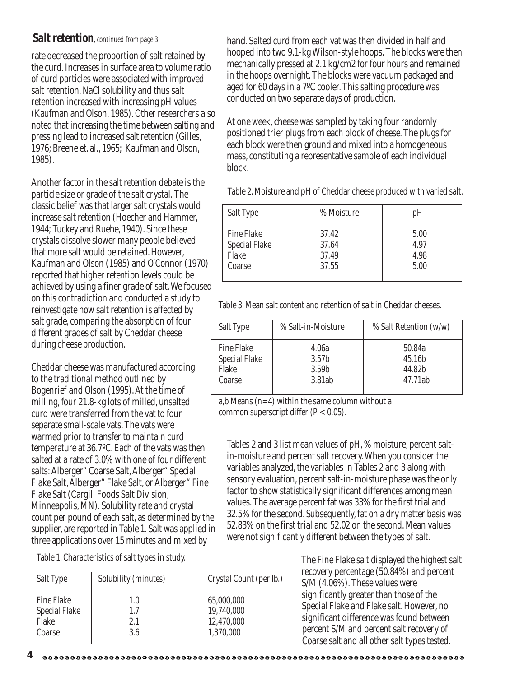### *Salt retention, continued from page 3*

rate decreased the proportion of salt retained by the curd. Increases in surface area to volume ratio of curd particles were associated with improved salt retention. NaCl solubility and thus salt retention increased with increasing pH values (Kaufman and Olson, 1985). Other researchers also noted that increasing the time between salting and pressing lead to increased salt retention (Gilles, 1976; Breene et. al., 1965; Kaufman and Olson, 1985).

Another factor in the salt retention debate is the particle size or grade of the salt crystal. The classic belief was that larger salt crystals would increase salt retention (Hoecher and Hammer, 1944; Tuckey and Ruehe, 1940). Since these crystals dissolve slower many people believed that more salt would be retained. However, Kaufman and Olson (1985) and O'Connor (1970) reported that higher retention levels could be achieved by using a finer grade of salt. We focused on this contradiction and conducted a study to reinvestigate how salt retention is affected by salt grade, comparing the absorption of four different grades of salt by Cheddar cheese during cheese production.

Cheddar cheese was manufactured according to the traditional method outlined by Bogenrief and Olson (1995). At the time of milling, four 21.8-kg lots of milled, unsalted curd were transferred from the vat to four separate small-scale vats. The vats were warmed prior to transfer to maintain curd temperature at 36.7ºC. Each of the vats was then salted at a rate of 3.0% with one of four different salts: Alberger" Coarse Salt, Alberger" Special Flake Salt, Alberger" Flake Salt, or Alberger" Fine Flake Salt (Cargill Foods Salt Division, Minneapolis, MN). Solubility rate and crystal count per pound of each salt, as determined by the supplier, are reported in Table 1. Salt was applied in three applications over 15 minutes and mixed by

Table 1. Characteristics of salt types in study.

| Salt Type            | Solubility (minutes) | Crystal Count (per lb.) |
|----------------------|----------------------|-------------------------|
| <b>Fine Flake</b>    | 1.0                  | 65,000,000              |
| <b>Special Flake</b> | 1.7                  | 19,740,000              |
| Flake                | 2.1                  | 12,470,000              |
| Coarse               | 3.6                  | 1,370,000               |

hand. Salted curd from each vat was then divided in half and hooped into two 9.1-kg Wilson-style hoops. The blocks were then mechanically pressed at 2.1 kg/cm2 for four hours and remained in the hoops overnight. The blocks were vacuum packaged and aged for 60 days in a 7ºC cooler. This salting procedure was conducted on two separate days of production.

At one week, cheese was sampled by taking four randomly positioned trier plugs from each block of cheese. The plugs for each block were then ground and mixed into a homogeneous mass, constituting a representative sample of each individual block.

Table 2. Moisture and pH of Cheddar cheese produced with varied salt.

| Salt Type            | % Moisture | pH   |
|----------------------|------------|------|
| <b>Fine Flake</b>    | 37.42      | 5.00 |
| <b>Special Flake</b> | 37.64      | 4.97 |
| Flake                | 37.49      | 4.98 |
| Coarse               | 37.55      | 5.00 |

Table 3. Mean salt content and retention of salt in Cheddar cheeses.

| Salt Type            | % Salt-in-Moisture | % Salt Retention (w/w) |
|----------------------|--------------------|------------------------|
| <b>Fine Flake</b>    | 4.06a              | 50.84a                 |
| <b>Special Flake</b> | 3.57 <sub>b</sub>  | 45.16b                 |
| Flake                | 3.59b              | 44.82b                 |
| Coarse               | 3.81ab             | 47.71ab                |

a,b Means (n=4) within the same column without a common superscript differ  $(P < 0.05)$ .

Tables 2 and 3 list mean values of pH, % moisture, percent saltin-moisture and percent salt recovery. When you consider the variables analyzed, the variables in Tables 2 and 3 along with sensory evaluation, percent salt-in-moisture phase was the only factor to show statistically significant differences among mean values. The average percent fat was 33% for the first trial and 32.5% for the second. Subsequently, fat on a dry matter basis was 52.83% on the first trial and 52.02 on the second. Mean values were not significantly different between the types of salt.

> The Fine Flake salt displayed the highest salt recovery percentage (50.84%) and percent S/M (4.06%). These values were significantly greater than those of the Special Flake and Flake salt. However, no significant difference was found between percent S/M and percent salt recovery of Coarse salt and all other salt types tested.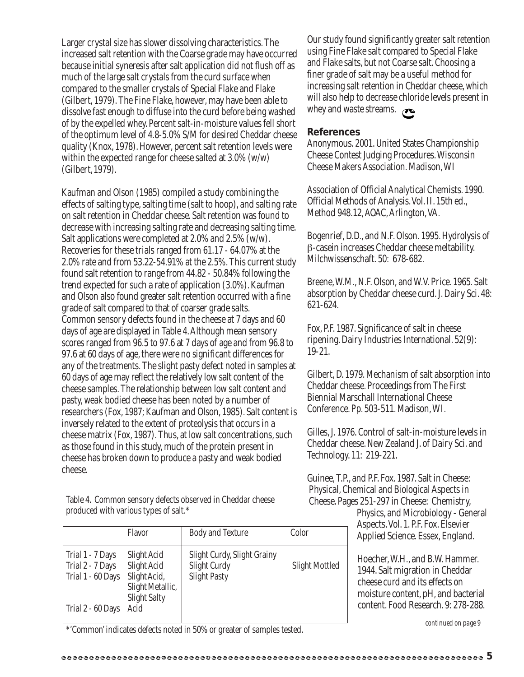Larger crystal size has slower dissolving characteristics. The increased salt retention with the Coarse grade may have occurred because initial syneresis after salt application did not flush off as much of the large salt crystals from the curd surface when compared to the smaller crystals of Special Flake and Flake (Gilbert, 1979). The Fine Flake, however, may have been able to dissolve fast enough to diffuse into the curd before being washed of by the expelled whey. Percent salt-in-moisture values fell short of the optimum level of 4.8-5.0% S/M for desired Cheddar cheese quality (Knox, 1978). However, percent salt retention levels were within the expected range for cheese salted at 3.0% (w/w) (Gilbert, 1979).

Kaufman and Olson (1985) compiled a study combining the effects of salting type, salting time (salt to hoop), and salting rate on salt retention in Cheddar cheese. Salt retention was found to decrease with increasing salting rate and decreasing salting time. Salt applications were completed at 2.0% and 2.5% (w/w). Recoveries for these trials ranged from 61.17 - 64.07% at the 2.0% rate and from 53.22-54.91% at the 2.5%. This current study found salt retention to range from 44.82 - 50.84% following the trend expected for such a rate of application (3.0%). Kaufman and Olson also found greater salt retention occurred with a fine grade of salt compared to that of coarser grade salts. Common sensory defects found in the cheese at 7 days and 60 days of age are displayed in Table 4. Although mean sensory scores ranged from 96.5 to 97.6 at 7 days of age and from 96.8 to 97.6 at 60 days of age, there were no significant differences for any of the treatments. The slight pasty defect noted in samples at 60 days of age may reflect the relatively low salt content of the cheese samples. The relationship between low salt content and pasty, weak bodied cheese has been noted by a number of researchers (Fox, 1987; Kaufman and Olson, 1985). Salt content is inversely related to the extent of proteolysis that occurs in a cheese matrix (Fox, 1987). Thus, at low salt concentrations, such as those found in this study, much of the protein present in cheese has broken down to produce a pasty and weak bodied cheese.

Table 4. Common sensory defects observed in Cheddar cheese produced with various types of salt.\*

|                                                           | Flavor                                                                                | <b>Body and Texture</b>                                            | Color                 |
|-----------------------------------------------------------|---------------------------------------------------------------------------------------|--------------------------------------------------------------------|-----------------------|
| Trial 1 - 7 Days<br>Trial 2 - 7 Days<br>Trial 1 - 60 Days | Slight Acid<br>Slight Acid<br>Slight Acid,<br>Slight Metallic,<br><b>Slight Salty</b> | Slight Curdy, Slight Grainy<br>Slight Curdy<br><b>Slight Pasty</b> | <b>Slight Mottled</b> |
| Trial 2 - 60 Days                                         | Acid                                                                                  |                                                                    |                       |

\*'Common' indicates defects noted in 50% or greater of samples tested. *continued on page 9*

Our study found significantly greater salt retention using Fine Flake salt compared to Special Flake and Flake salts, but not Coarse salt. Choosing a finer grade of salt may be a useful method for increasing salt retention in Cheddar cheese, which will also help to decrease chloride levels present in whey and waste streams.  $\sigma$ 

#### **References**

Anonymous. 2001. United States Championship Cheese Contest Judging Procedures. Wisconsin Cheese Makers Association. Madison, WI

Association of Official Analytical Chemists. 1990. Official Methods of Analysis. Vol. II. 15th ed., Method 948.12, AOAC, Arlington, VA.

Bogenrief, D.D., and N.F. Olson. 1995. Hydrolysis of β-casein increases Cheddar cheese meltability. Milchwissenschaft. 50: 678-682.

Breene, W.M., N.F. Olson, and W.V. Price. 1965. Salt absorption by Cheddar cheese curd. J. Dairy Sci. 48: 621-624.

Fox, P.F. 1987. Significance of salt in cheese ripening. Dairy Industries International. 52(9): 19-21.

Gilbert, D. 1979. Mechanism of salt absorption into Cheddar cheese. Proceedings from The First Biennial Marschall International Cheese Conference. Pp. 503-511. Madison, WI.

Gilles, J. 1976. Control of salt-in-moisture levels in Cheddar cheese. New Zealand J. of Dairy Sci. and Technology. 11: 219-221.

Guinee, T.P., and P.F. Fox. 1987. Salt in Cheese: Physical, Chemical and Biological Aspects in Cheese. Pages 251-297 in Cheese: Chemistry,

Physics, and Microbiology - General Aspects. Vol. 1. P.F. Fox. Elsevier Applied Science. Essex, England.

Hoecher, W.H., and B.W. Hammer. 1944. Salt migration in Cheddar cheese curd and its effects on moisture content, pH, and bacterial content. Food Research. 9: 278-288.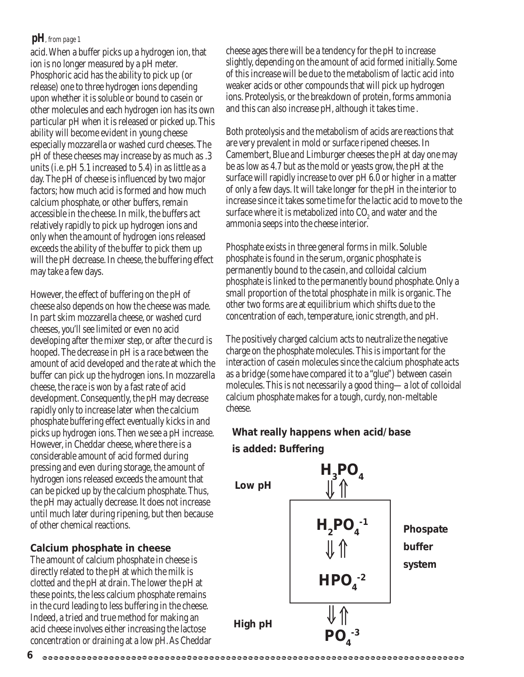### *pH, from page 1*

acid. When a buffer picks up a hydrogen ion, that ion is no longer measured by a pH meter. Phosphoric acid has the ability to pick up (or release) one to three hydrogen ions depending upon whether it is soluble or bound to casein or other molecules and each hydrogen ion has its own particular pH when it is released or picked up. This ability will become evident in young cheese especially mozzarella or washed curd cheeses. The pH of these cheeses may increase by as much as .3 units (i.e. pH 5.1 increased to 5.4) in as little as a day. The pH of cheese is influenced by two major factors; how much acid is formed and how much calcium phosphate, or other buffers, remain accessible in the cheese. In milk, the buffers act relatively rapidly to pick up hydrogen ions and only when the amount of hydrogen ions released exceeds the ability of the buffer to pick them up will the pH decrease. In cheese, the buffering effect may take a few days.

However, the effect of buffering on the pH of cheese also depends on how the cheese was made. In part skim mozzarella cheese, or washed curd cheeses, you'll see limited or even no acid developing after the mixer step, or after the curd is hooped. The decrease in pH is a race between the amount of acid developed and the rate at which the buffer can pick up the hydrogen ions. In mozzarella cheese, the race is won by a fast rate of acid development. Consequently, the pH may decrease rapidly only to increase later when the calcium phosphate buffering effect eventually kicks in and picks up hydrogen ions. Then we see a pH increase. However, in Cheddar cheese, where there is a considerable amount of acid formed during pressing and even during storage, the amount of hydrogen ions released exceeds the amount that can be picked up by the calcium phosphate. Thus, the pH may actually decrease. It does not increase until much later during ripening, but then because of other chemical reactions.

### **Calcium phosphate in cheese**

The amount of calcium phosphate in cheese is directly related to the pH at which the milk is clotted and the pH at drain. The lower the pH at these points, the less calcium phosphate remains in the curd leading to less buffering in the cheese. Indeed, a tried and true method for making an acid cheese involves either increasing the lactose concentration or draining at a low pH. As Cheddar cheese ages there will be a tendency for the pH to increase slightly, depending on the amount of acid formed initially. Some of this increase will be due to the metabolism of lactic acid into weaker acids or other compounds that will pick up hydrogen ions. Proteolysis, or the breakdown of protein, forms ammonia and this can also increase pH, although it takes time .

Both proteolysis and the metabolism of acids are reactions that are very prevalent in mold or surface ripened cheeses. In Camembert, Blue and Limburger cheeses the pH at day one may be as low as 4.7 but as the mold or yeasts grow, the pH at the surface will rapidly increase to over pH 6.0 or higher in a matter of only a few days. It will take longer for the pH in the interior to increase since it takes some time for the lactic acid to move to the surface where it is metabolized into  $\mathrm{CO}_2$  and water and the ammonia seeps into the cheese interior.

Phosphate exists in three general forms in milk. Soluble phosphate is found in the serum, organic phosphate is permanently bound to the casein, and colloidal calcium phosphate is linked to the permanently bound phosphate. Only a small proportion of the total phosphate in milk is organic. The other two forms are at equilibrium which shifts due to the concentration of each, temperature, ionic strength, and pH.

The positively charged calcium acts to neutralize the negative charge on the phosphate molecules. This is important for the interaction of casein molecules since the calcium phosphate acts as a bridge (some have compared it to a "glue") between casein molecules. This is not necessarily a good thing—a lot of colloidal calcium phosphate makes for a tough, curdy, non-meltable cheese.

### **What really happens when acid/base**



**6**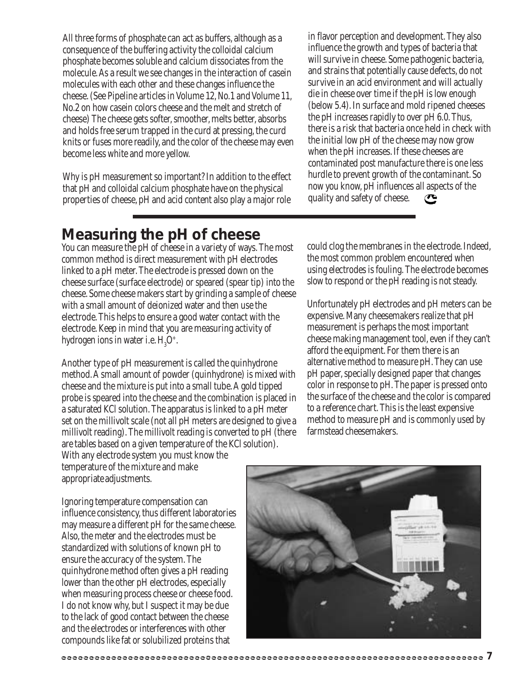All three forms of phosphate can act as buffers, although as a consequence of the buffering activity the colloidal calcium phosphate becomes soluble and calcium dissociates from the molecule. As a result we see changes in the interaction of casein molecules with each other and these changes influence the cheese. (See Pipeline articles in Volume 12, No.1 and Volume 11, No.2 on how casein colors cheese and the melt and stretch of cheese) The cheese gets softer, smoother, melts better, absorbs and holds free serum trapped in the curd at pressing, the curd knits or fuses more readily, and the color of the cheese may even become less white and more yellow.

Why is pH measurement so important? In addition to the effect that pH and colloidal calcium phosphate have on the physical properties of cheese, pH and acid content also play a major role in flavor perception and development. They also influence the growth and types of bacteria that will survive in cheese. Some pathogenic bacteria, and strains that potentially cause defects, do not survive in an acid environment and will actually die in cheese over time if the pH is low enough (below 5.4). In surface and mold ripened cheeses the pH increases rapidly to over pH 6.0. Thus, there is a risk that bacteria once held in check with the initial low pH of the cheese may now grow when the pH increases. If these cheeses are contaminated post manufacture there is one less hurdle to prevent growth of the contaminant. So now you know, pH influences all aspects of the quality and safety of cheese.  $\mathbf C$ 

### **Measuring the pH of cheese**

You can measure the pH of cheese in a variety of ways. The most common method is direct measurement with pH electrodes linked to a pH meter. The electrode is pressed down on the cheese surface (surface electrode) or speared (spear tip) into the cheese. Some cheese makers start by grinding a sample of cheese with a small amount of deionized water and then use the electrode. This helps to ensure a good water contact with the electrode. Keep in mind that you are measuring activity of hydrogen ions in water i.e.  $\mathrm{H}_{3}\mathrm{O}^{+}$ .

Another type of pH measurement is called the quinhydrone method. A small amount of powder (quinhydrone) is mixed with cheese and the mixture is put into a small tube. A gold tipped probe is speared into the cheese and the combination is placed in a saturated KCl solution. The apparatus is linked to a pH meter set on the millivolt scale (not all pH meters are designed to give a millivolt reading). The millivolt reading is converted to pH (there are tables based on a given temperature of the KCl solution). With any electrode system you must know the

temperature of the mixture and make appropriate adjustments.

could clog the membranes in the electrode. Indeed, the most common problem encountered when using electrodes is fouling. The electrode becomes slow to respond or the pH reading is not steady.

Unfortunately pH electrodes and pH meters can be expensive. Many cheesemakers realize that pH measurement is perhaps the most important cheese making management tool, even if they can't afford the equipment. For them there is an alternative method to measure pH. They can use pH paper, specially designed paper that changes color in response to pH. The paper is pressed onto the surface of the cheese and the color is compared to a reference chart. This is the least expensive method to measure pH and is commonly used by farmstead cheesemakers.

Ignoring temperature compensation can influence consistency, thus different laboratories may measure a different pH for the same cheese. Also, the meter and the electrodes must be standardized with solutions of known pH to ensure the accuracy of the system. The quinhydrone method often gives a pH reading lower than the other pH electrodes, especially when measuring process cheese or cheese food. I do not know why, but I suspect it may be due to the lack of good contact between the cheese and the electrodes or interferences with other compounds like fat or solubilized proteins that

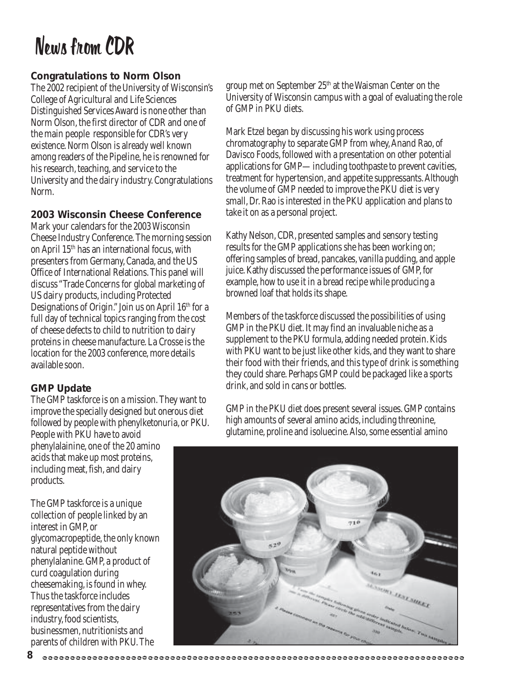# News from CDR

### **Congratulations to Norm Olson**

The 2002 recipient of the University of Wisconsin's College of Agricultural and Life Sciences Distinguished Services Award is none other than Norm Olson, the first director of CDR and one of the main people responsible for CDR's very existence. Norm Olson is already well known among readers of the Pipeline, he is renowned for his research, teaching, and service to the University and the dairy industry. Congratulations Norm.

### **2003 Wisconsin Cheese Conference**

Mark your calendars for the 2003 Wisconsin Cheese Industry Conference. The morning session on April 15th has an international focus, with presenters from Germany, Canada, and the US Office of International Relations. This panel will discuss "Trade Concerns for global marketing of US dairy products, including Protected Designations of Origin." Join us on April 16th for a full day of technical topics ranging from the cost of cheese defects to child to nutrition to dairy proteins in cheese manufacture. La Crosse is the location for the 2003 conference, more details available soon.

### **GMP Update**

The GMP taskforce is on a mission. They want to improve the specially designed but onerous diet followed by people with phenylketonuria, or PKU. People with PKU have to avoid

phenylalainine, one of the 20 amino acids that make up most proteins, including meat, fish, and dairy products.

The GMP taskforce is a unique collection of people linked by an interest in GMP, or glycomacropeptide, the only known natural peptide without phenylalanine. GMP, a product of curd coagulation during cheesemaking, is found in whey. Thus the taskforce includes representatives from the dairy industry, food scientists, businessmen, nutritionists and parents of children with PKU. The

**8**

group met on September 25th at the Waisman Center on the University of Wisconsin campus with a goal of evaluating the role of GMP in PKU diets.

Mark Etzel began by discussing his work using process chromatography to separate GMP from whey, Anand Rao, of Davisco Foods, followed with a presentation on other potential applications for GMP—including toothpaste to prevent cavities, treatment for hypertension, and appetite suppressants. Although the volume of GMP needed to improve the PKU diet is very small, Dr. Rao is interested in the PKU application and plans to take it on as a personal project.

Kathy Nelson, CDR, presented samples and sensory testing results for the GMP applications she has been working on; offering samples of bread, pancakes, vanilla pudding, and apple juice. Kathy discussed the performance issues of GMP, for example, how to use it in a bread recipe while producing a browned loaf that holds its shape.

Members of the taskforce discussed the possibilities of using GMP in the PKU diet. It may find an invaluable niche as a supplement to the PKU formula, adding needed protein. Kids with PKU want to be just like other kids, and they want to share their food with their friends, and this type of drink is something they could share. Perhaps GMP could be packaged like a sports drink, and sold in cans or bottles.

GMP in the PKU diet does present several issues. GMP contains high amounts of several amino acids, including threonine, glutamine, proline and isoluecine. Also, some essential amino

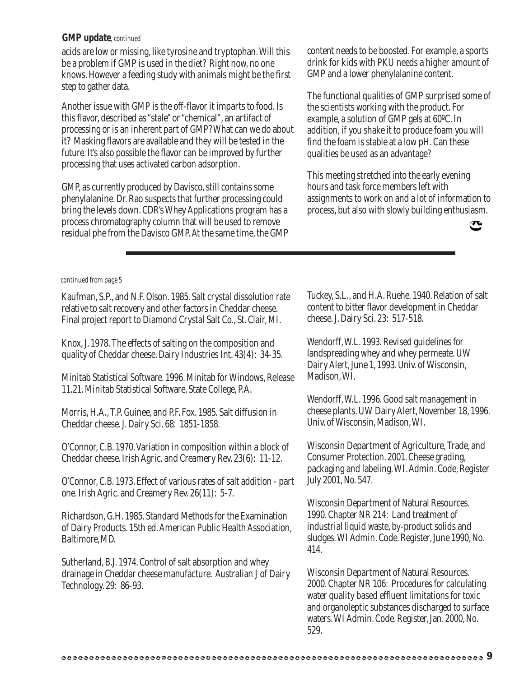### *GMP update, continued*

acids are low or missing, like tyrosine and tryptophan. Will this be a problem if GMP is used in the diet? Right now, no one knows. However a feeding study with animals might be the first step to gather data.

Another issue with GMP is the off-flavor it imparts to food. Is this flavor, described as "stale" or "chemical", an artifact of processing or is an inherent part of GMP? What can we do about it? Masking flavors are available and they will be tested in the future. It's also possible the flavor can be improved by further processing that uses activated carbon adsorption.

GMP, as currently produced by Davisco, still contains some phenylalanine. Dr. Rao suspects that further processing could bring the levels down. CDR's Whey Applications program has a process chromatography column that will be used to remove residual phe from the Davisco GMP. At the same time, the GMP content needs to be boosted. For example, a sports drink for kids with PKU needs a higher amount of GMP and a lower phenylalanine content.

The functional qualities of GMP surprised some of the scientists working with the product. For example, a solution of GMP gels at 60ºC. In addition, if you shake it to produce foam you will find the foam is stable at a low pH. Can these qualities be used as an advantage?

This meeting stretched into the early evening hours and task force members left with assignments to work on and a lot of information to process, but also with slowly building enthusiasm.



#### *continued from page 5*

Kaufman, S.P., and N.F. Olson. 1985. Salt crystal dissolution rate relative to salt recovery and other factors in Cheddar cheese. Final project report to Diamond Crystal Salt Co., St. Clair, MI.

Knox, J. 1978. The effects of salting on the composition and quality of Cheddar cheese. Dairy Industries Int. 43(4): 34-35.

Minitab Statistical Software. 1996. Minitab for Windows, Release 11.21. Minitab Statistical Software, State College, P.A.

Morris, H.A., T.P. Guinee, and P.F. Fox. 1985. Salt diffusion in Cheddar cheese. J. Dairy Sci. 68: 1851-1858.

O'Connor, C.B. 1970. Variation in composition within a block of Cheddar cheese. Irish Agric. and Creamery Rev. 23(6): 11-12.

O'Connor, C.B. 1973. Effect of various rates of salt addition - part one. Irish Agric. and Creamery Rev. 26(11): 5-7.

Richardson, G.H. 1985. Standard Methods for the Examination of Dairy Products. 15th ed. American Public Health Association, Baltimore, MD.

Sutherland, B.J. 1974. Control of salt absorption and whey drainage in Cheddar cheese manufacture. Australian J of Dairy Technology. 29: 86-93.

Tuckey, S.L., and H.A. Ruehe. 1940. Relation of salt content to bitter flavor development in Cheddar cheese. J. Dairy Sci. 23: 517-518.

Wendorff, W.L. 1993. Revised guidelines for landspreading whey and whey permeate. UW Dairy Alert, June 1, 1993. Univ. of Wisconsin, Madison, WI.

Wendorff, W.L. 1996. Good salt management in cheese plants. UW Dairy Alert, November 18, 1996. Univ. of Wisconsin, Madison, WI.

Wisconsin Department of Agriculture, Trade, and Consumer Protection. 2001. Cheese grading, packaging and labeling. WI. Admin. Code, Register July 2001, No. 547.

Wisconsin Department of Natural Resources. 1990. Chapter NR 214: Land treatment of industrial liquid waste, by-product solids and sludges. WI Admin. Code. Register, June 1990, No. 414.

Wisconsin Department of Natural Resources. 2000. Chapter NR 106: Procedures for calculating water quality based effluent limitations for toxic and organoleptic substances discharged to surface waters. WI Admin. Code. Register, Jan. 2000, No. 529.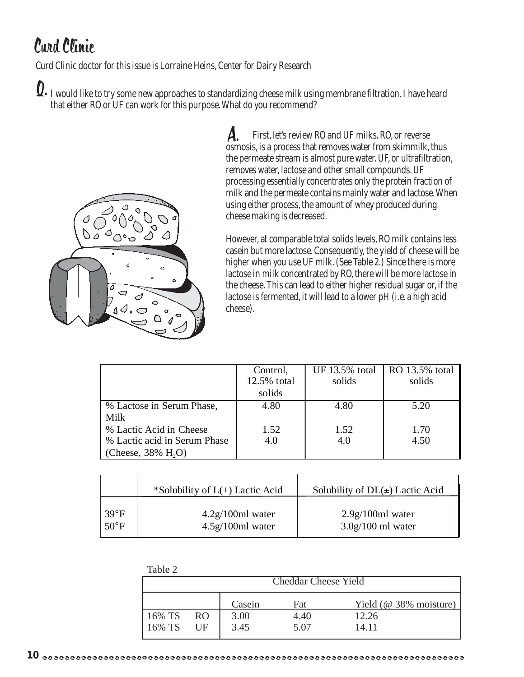# Curd Clinic

Curd Clinic doctor for this issue is Lorraine Heins, Center for Dairy Research

 $\bm{Q}.$  I would like to try some new approaches to standardizing cheese milk using membrane filtration. I have heard that either RO or UF can work for this purpose. What do you recommend?



 First, let's review RO and UF milks. RO, or reverse osmosis, is a process that removes water from skimmilk, thus the permeate stream is almost pure water. UF, or ultrafiltration, removes water, lactose and other small compounds. UF processing essentially concentrates only the protein fraction of milk and the permeate contains mainly water and lactose. When using either process, the amount of whey produced during cheese making is decreased. A.

However, at comparable total solids levels, RO milk contains less casein but more lactose. Consequently, the yield of cheese will be higher when you use UF milk. (See Table 2.) Since there is more lactose in milk concentrated by RO, there will be more lactose in the cheese. This can lead to either higher residual sugar or, if the lactose is fermented, it will lead to a lower pH (i.e. a high acid cheese).

|                                   | Control,    |        | UF 13.5% total   RO 13.5% total |
|-----------------------------------|-------------|--------|---------------------------------|
|                                   | 12.5% total | solids | solids                          |
|                                   | solids      |        |                                 |
| % Lactose in Serum Phase,         | 4.80        | 4.80   | 5.20                            |
| Milk                              |             |        |                                 |
| % Lactic Acid in Cheese           | 1.52        | 1.52   | 1.70                            |
| % Lactic acid in Serum Phase      | 4.0         | 4.0    | 4.50                            |
| (Cheese, $38\%$ H <sub>2</sub> O) |             |        |                                 |

|                                  | *Solubility of $L(+)$ Lactic Acid        | Solubility of $DL(\pm)$ Lactic Acid       |
|----------------------------------|------------------------------------------|-------------------------------------------|
| $139^{\circ}F$<br>$50^{\circ}$ F | $4.2g/100ml$ water<br>$4.5g/100ml$ water | $2.9g/100ml$ water<br>$3.0g/100$ ml water |

| Table 2                     |                 |        |      |                           |  |
|-----------------------------|-----------------|--------|------|---------------------------|--|
| <b>Cheddar Cheese Yield</b> |                 |        |      |                           |  |
|                             |                 |        |      |                           |  |
|                             |                 | Casein | Fat  | Yield ( $@$ 38% moisture) |  |
| $16\%$ TS                   | RO <sub>1</sub> | 3.00   | 4.40 | 12.26                     |  |
| $16\%$ TS                   | UF              | 3.45   | 5.07 | 14.11                     |  |
|                             |                 |        |      |                           |  |

 $T - 1.1 - 2$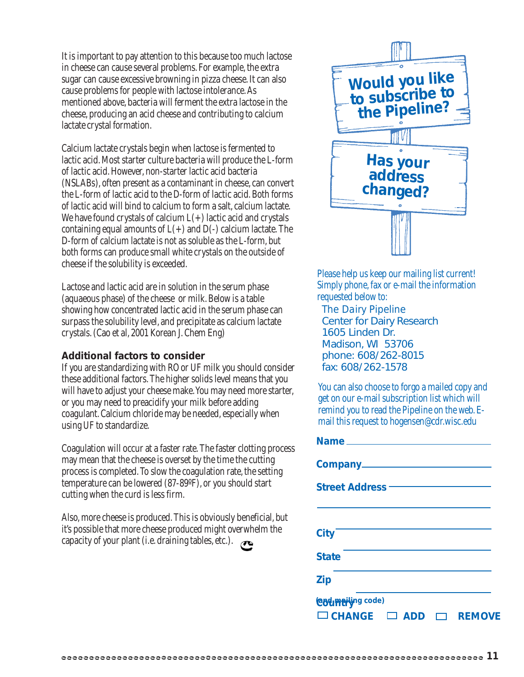It is important to pay attention to this because too much lactose in cheese can cause several problems. For example, the extra sugar can cause excessive browning in pizza cheese. It can also cause problems for people with lactose intolerance. As mentioned above, bacteria will ferment the extra lactose in the cheese, producing an acid cheese and contributing to calcium lactate crystal formation.

Calcium lactate crystals begin when lactose is fermented to lactic acid. Most starter culture bacteria will produce the L-form of lactic acid. However, non-starter lactic acid bacteria (NSLABs), often present as a contaminant in cheese, can convert the L-form of lactic acid to the D-form of lactic acid. Both forms of lactic acid will bind to calcium to form a salt, calcium lactate. We have found crystals of calcium  $L(+)$  lactic acid and crystals containing equal amounts of  $L(+)$  and  $D(-)$  calcium lactate. The D-form of calcium lactate is not as soluble as the L-form, but both forms can produce small white crystals on the outside of cheese if the solubility is exceeded.

Lactose and lactic acid are in solution in the serum phase (aquaeous phase) of the cheese or milk. Below is a table showing how concentrated lactic acid in the serum phase can surpass the solubility level, and precipitate as calcium lactate crystals. (Cao et al, 2001 Korean J. Chem Eng)

### **Additional factors to consider**

If you are standardizing with RO or UF milk you should consider these additional factors. The higher solids level means that you will have to adjust your cheese make. You may need more starter, or you may need to preacidify your milk before adding coagulant. Calcium chloride may be needed, especially when using UF to standardize.

Coagulation will occur at a faster rate. The faster clotting process may mean that the cheese is overset by the time the cutting process is completed. To slow the coagulation rate, the setting temperature can be lowered (87-89ºF), or you should start cutting when the curd is less firm.

Also, more cheese is produced. This is obviously beneficial, but it's possible that more cheese produced might overwhelm the capacity of your plant (i.e. draining tables, etc.).



Please help us keep our mailing list current! Simply phone, fax or e-mail the information requested below to:

*The Dairy Pipeline* Center for Dairy Research 1605 Linden Dr. Madison, WI 53706 phone: 608/262-8015 fax: 608/262-1578

You can also choose to forgo a mailed copy and get on our e-mail subscription list which will remind you to read the Pipeline on the web. Email this request to hogensen@cdr.wisc.edu

| Street Address <b>Container Street Address</b> |                         |
|------------------------------------------------|-------------------------|
|                                                |                         |
| <b>City</b>                                    |                         |
| <b>State</b>                                   |                         |
| <b>Zip</b>                                     |                         |
| <b>Codmation</b> code)                         |                         |
| $\Box$ CHANGE $\Box$ ADD                       | <b>REMOVE</b><br>$\Box$ |